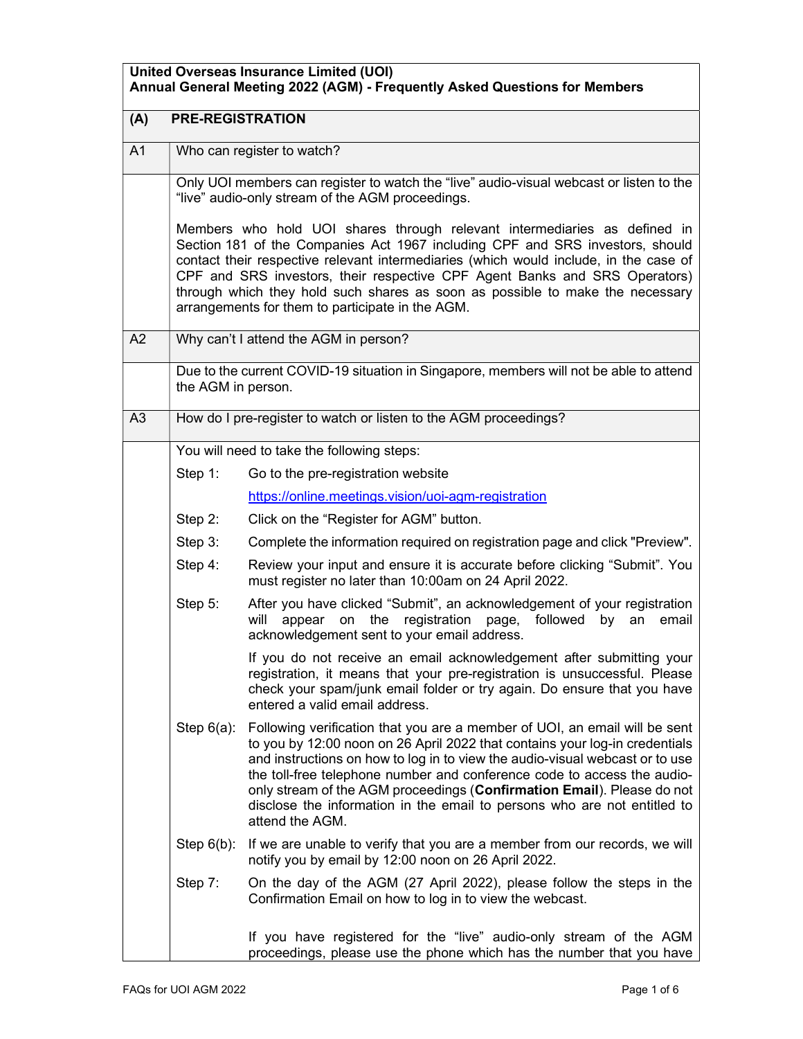| <b>United Overseas Insurance Limited (UOI)</b><br>Annual General Meeting 2022 (AGM) - Frequently Asked Questions for Members |                         |                                                                                                                                                                                                                                                                                                                                                                                                                                                                                               |  |  |
|------------------------------------------------------------------------------------------------------------------------------|-------------------------|-----------------------------------------------------------------------------------------------------------------------------------------------------------------------------------------------------------------------------------------------------------------------------------------------------------------------------------------------------------------------------------------------------------------------------------------------------------------------------------------------|--|--|
| (A)                                                                                                                          | <b>PRE-REGISTRATION</b> |                                                                                                                                                                                                                                                                                                                                                                                                                                                                                               |  |  |
| A1                                                                                                                           |                         | Who can register to watch?                                                                                                                                                                                                                                                                                                                                                                                                                                                                    |  |  |
|                                                                                                                              |                         | Only UOI members can register to watch the "live" audio-visual webcast or listen to the<br>"live" audio-only stream of the AGM proceedings.                                                                                                                                                                                                                                                                                                                                                   |  |  |
|                                                                                                                              |                         | Members who hold UOI shares through relevant intermediaries as defined in<br>Section 181 of the Companies Act 1967 including CPF and SRS investors, should<br>contact their respective relevant intermediaries (which would include, in the case of<br>CPF and SRS investors, their respective CPF Agent Banks and SRS Operators)<br>through which they hold such shares as soon as possible to make the necessary<br>arrangements for them to participate in the AGM.                        |  |  |
| A <sub>2</sub>                                                                                                               |                         | Why can't I attend the AGM in person?                                                                                                                                                                                                                                                                                                                                                                                                                                                         |  |  |
|                                                                                                                              | the AGM in person.      | Due to the current COVID-19 situation in Singapore, members will not be able to attend                                                                                                                                                                                                                                                                                                                                                                                                        |  |  |
| A3                                                                                                                           |                         | How do I pre-register to watch or listen to the AGM proceedings?                                                                                                                                                                                                                                                                                                                                                                                                                              |  |  |
|                                                                                                                              |                         | You will need to take the following steps:                                                                                                                                                                                                                                                                                                                                                                                                                                                    |  |  |
|                                                                                                                              | Step $1$ :              | Go to the pre-registration website                                                                                                                                                                                                                                                                                                                                                                                                                                                            |  |  |
|                                                                                                                              |                         | https://online.meetings.vision/uoi-agm-registration                                                                                                                                                                                                                                                                                                                                                                                                                                           |  |  |
|                                                                                                                              | Step 2:                 | Click on the "Register for AGM" button.                                                                                                                                                                                                                                                                                                                                                                                                                                                       |  |  |
|                                                                                                                              | Step 3:                 | Complete the information required on registration page and click "Preview".                                                                                                                                                                                                                                                                                                                                                                                                                   |  |  |
|                                                                                                                              | Step 4:                 | Review your input and ensure it is accurate before clicking "Submit". You<br>must register no later than 10:00am on 24 April 2022.                                                                                                                                                                                                                                                                                                                                                            |  |  |
|                                                                                                                              | Step 5:                 | After you have clicked "Submit", an acknowledgement of your registration<br>registration page,<br>appear<br>the<br>followed<br>will<br>on<br>by<br>an<br>email<br>acknowledgement sent to your email address.                                                                                                                                                                                                                                                                                 |  |  |
|                                                                                                                              |                         | If you do not receive an email acknowledgement after submitting your<br>registration, it means that your pre-registration is unsuccessful. Please<br>check your spam/junk email folder or try again. Do ensure that you have<br>entered a valid email address.                                                                                                                                                                                                                                |  |  |
|                                                                                                                              | Step $6(a)$ :           | Following verification that you are a member of UOI, an email will be sent<br>to you by 12:00 noon on 26 April 2022 that contains your log-in credentials<br>and instructions on how to log in to view the audio-visual webcast or to use<br>the toll-free telephone number and conference code to access the audio-<br>only stream of the AGM proceedings (Confirmation Email). Please do not<br>disclose the information in the email to persons who are not entitled to<br>attend the AGM. |  |  |
|                                                                                                                              | Step $6(b)$ :           | If we are unable to verify that you are a member from our records, we will<br>notify you by email by 12:00 noon on 26 April 2022.                                                                                                                                                                                                                                                                                                                                                             |  |  |
|                                                                                                                              | Step 7:                 | On the day of the AGM (27 April 2022), please follow the steps in the<br>Confirmation Email on how to log in to view the webcast.                                                                                                                                                                                                                                                                                                                                                             |  |  |
|                                                                                                                              |                         | If you have registered for the "live" audio-only stream of the AGM<br>proceedings, please use the phone which has the number that you have                                                                                                                                                                                                                                                                                                                                                    |  |  |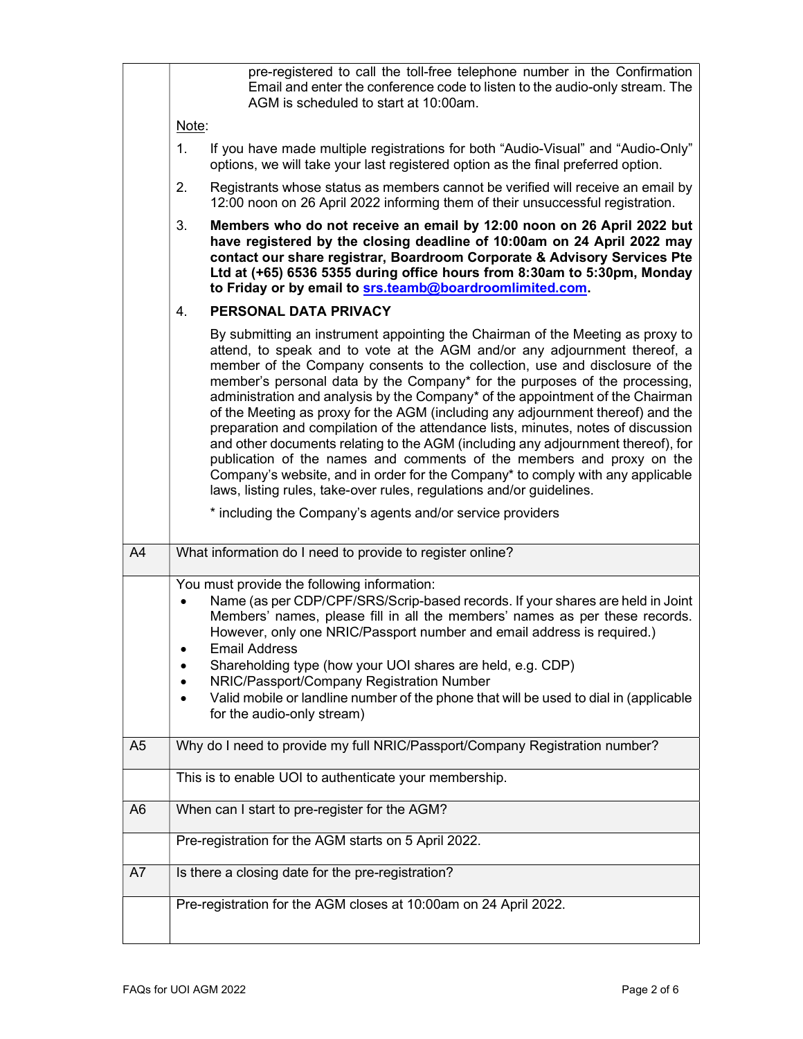|                | pre-registered to call the toll-free telephone number in the Confirmation<br>Email and enter the conference code to listen to the audio-only stream. The<br>AGM is scheduled to start at 10:00am.                                                                                                                                                                                                                                                                                                                                                                                                                                                                                                                                                                                                                                                                                                                                                                      |  |
|----------------|------------------------------------------------------------------------------------------------------------------------------------------------------------------------------------------------------------------------------------------------------------------------------------------------------------------------------------------------------------------------------------------------------------------------------------------------------------------------------------------------------------------------------------------------------------------------------------------------------------------------------------------------------------------------------------------------------------------------------------------------------------------------------------------------------------------------------------------------------------------------------------------------------------------------------------------------------------------------|--|
|                | Note:                                                                                                                                                                                                                                                                                                                                                                                                                                                                                                                                                                                                                                                                                                                                                                                                                                                                                                                                                                  |  |
|                | 1.<br>If you have made multiple registrations for both "Audio-Visual" and "Audio-Only"<br>options, we will take your last registered option as the final preferred option.                                                                                                                                                                                                                                                                                                                                                                                                                                                                                                                                                                                                                                                                                                                                                                                             |  |
|                | 2.<br>Registrants whose status as members cannot be verified will receive an email by<br>12:00 noon on 26 April 2022 informing them of their unsuccessful registration.                                                                                                                                                                                                                                                                                                                                                                                                                                                                                                                                                                                                                                                                                                                                                                                                |  |
|                | 3.<br>Members who do not receive an email by 12:00 noon on 26 April 2022 but<br>have registered by the closing deadline of 10:00am on 24 April 2022 may<br>contact our share registrar, Boardroom Corporate & Advisory Services Pte<br>Ltd at (+65) 6536 5355 during office hours from 8:30am to 5:30pm, Monday<br>to Friday or by email to srs.teamb@boardroomlimited.com.                                                                                                                                                                                                                                                                                                                                                                                                                                                                                                                                                                                            |  |
|                | PERSONAL DATA PRIVACY<br>4.                                                                                                                                                                                                                                                                                                                                                                                                                                                                                                                                                                                                                                                                                                                                                                                                                                                                                                                                            |  |
|                | By submitting an instrument appointing the Chairman of the Meeting as proxy to<br>attend, to speak and to vote at the AGM and/or any adjournment thereof, a<br>member of the Company consents to the collection, use and disclosure of the<br>member's personal data by the Company* for the purposes of the processing,<br>administration and analysis by the Company* of the appointment of the Chairman<br>of the Meeting as proxy for the AGM (including any adjournment thereof) and the<br>preparation and compilation of the attendance lists, minutes, notes of discussion<br>and other documents relating to the AGM (including any adjournment thereof), for<br>publication of the names and comments of the members and proxy on the<br>Company's website, and in order for the Company* to comply with any applicable<br>laws, listing rules, take-over rules, regulations and/or guidelines.<br>* including the Company's agents and/or service providers |  |
|                |                                                                                                                                                                                                                                                                                                                                                                                                                                                                                                                                                                                                                                                                                                                                                                                                                                                                                                                                                                        |  |
| A4             | What information do I need to provide to register online?                                                                                                                                                                                                                                                                                                                                                                                                                                                                                                                                                                                                                                                                                                                                                                                                                                                                                                              |  |
|                | You must provide the following information:<br>Name (as per CDP/CPF/SRS/Scrip-based records. If your shares are held in Joint<br>$\bullet$<br>Members' names, please fill in all the members' names as per these records.<br>However, only one NRIC/Passport number and email address is required.)<br><b>Email Address</b><br>Shareholding type (how your UOI shares are held, e.g. CDP)<br>NRIC/Passport/Company Registration Number<br>Valid mobile or landline number of the phone that will be used to dial in (applicable                                                                                                                                                                                                                                                                                                                                                                                                                                        |  |
|                |                                                                                                                                                                                                                                                                                                                                                                                                                                                                                                                                                                                                                                                                                                                                                                                                                                                                                                                                                                        |  |
|                | for the audio-only stream)                                                                                                                                                                                                                                                                                                                                                                                                                                                                                                                                                                                                                                                                                                                                                                                                                                                                                                                                             |  |
| A <sub>5</sub> | Why do I need to provide my full NRIC/Passport/Company Registration number?                                                                                                                                                                                                                                                                                                                                                                                                                                                                                                                                                                                                                                                                                                                                                                                                                                                                                            |  |
|                | This is to enable UOI to authenticate your membership.                                                                                                                                                                                                                                                                                                                                                                                                                                                                                                                                                                                                                                                                                                                                                                                                                                                                                                                 |  |
| A <sub>6</sub> | When can I start to pre-register for the AGM?                                                                                                                                                                                                                                                                                                                                                                                                                                                                                                                                                                                                                                                                                                                                                                                                                                                                                                                          |  |
|                | Pre-registration for the AGM starts on 5 April 2022.                                                                                                                                                                                                                                                                                                                                                                                                                                                                                                                                                                                                                                                                                                                                                                                                                                                                                                                   |  |
| A7             | Is there a closing date for the pre-registration?                                                                                                                                                                                                                                                                                                                                                                                                                                                                                                                                                                                                                                                                                                                                                                                                                                                                                                                      |  |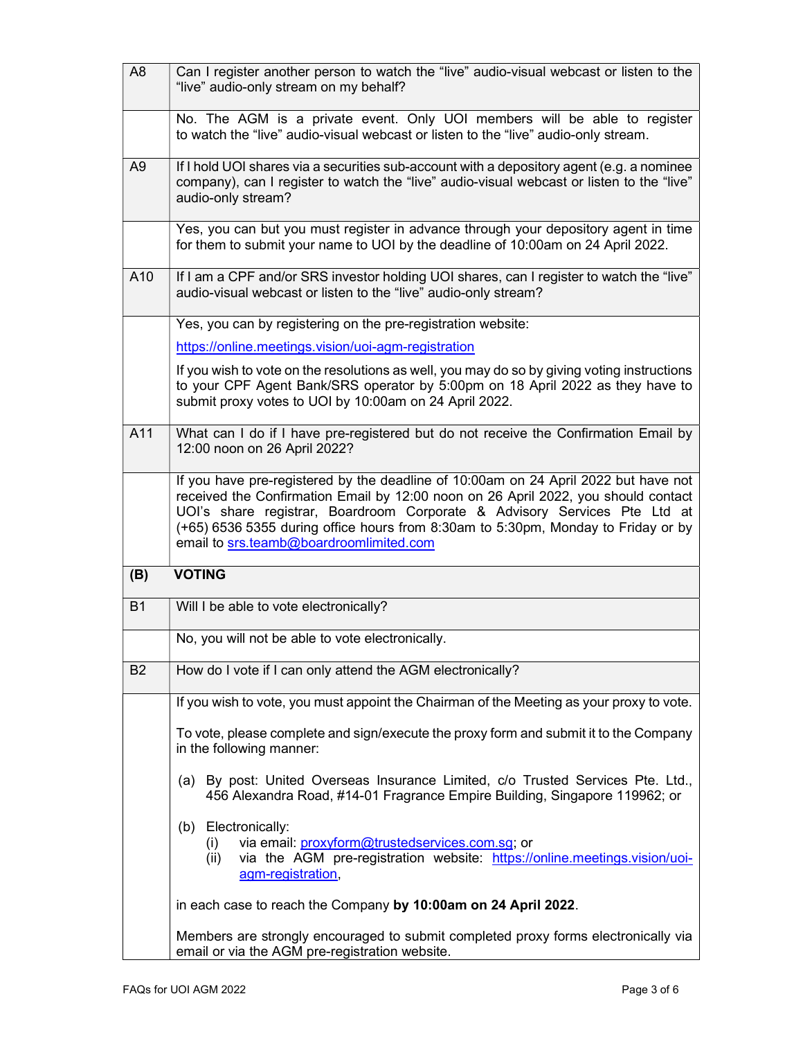| A <sub>8</sub> | Can I register another person to watch the "live" audio-visual webcast or listen to the<br>"live" audio-only stream on my behalf?                                                                                                                                                                                                                                                      |  |
|----------------|----------------------------------------------------------------------------------------------------------------------------------------------------------------------------------------------------------------------------------------------------------------------------------------------------------------------------------------------------------------------------------------|--|
|                | No. The AGM is a private event. Only UOI members will be able to register<br>to watch the "live" audio-visual webcast or listen to the "live" audio-only stream.                                                                                                                                                                                                                       |  |
| A <sub>9</sub> | If I hold UOI shares via a securities sub-account with a depository agent (e.g. a nominee<br>company), can I register to watch the "live" audio-visual webcast or listen to the "live"<br>audio-only stream?                                                                                                                                                                           |  |
|                | Yes, you can but you must register in advance through your depository agent in time<br>for them to submit your name to UOI by the deadline of 10:00am on 24 April 2022.                                                                                                                                                                                                                |  |
| A10            | If I am a CPF and/or SRS investor holding UOI shares, can I register to watch the "live"<br>audio-visual webcast or listen to the "live" audio-only stream?                                                                                                                                                                                                                            |  |
|                | Yes, you can by registering on the pre-registration website:                                                                                                                                                                                                                                                                                                                           |  |
|                | https://online.meetings.vision/uoi-agm-registration                                                                                                                                                                                                                                                                                                                                    |  |
|                | If you wish to vote on the resolutions as well, you may do so by giving voting instructions<br>to your CPF Agent Bank/SRS operator by 5:00pm on 18 April 2022 as they have to<br>submit proxy votes to UOI by 10:00am on 24 April 2022.                                                                                                                                                |  |
| A11            | What can I do if I have pre-registered but do not receive the Confirmation Email by<br>12:00 noon on 26 April 2022?                                                                                                                                                                                                                                                                    |  |
|                | If you have pre-registered by the deadline of 10:00am on 24 April 2022 but have not<br>received the Confirmation Email by 12:00 noon on 26 April 2022, you should contact<br>UOI's share registrar, Boardroom Corporate & Advisory Services Pte Ltd at<br>(+65) 6536 5355 during office hours from 8:30am to 5:30pm, Monday to Friday or by<br>email to srs.teamb@boardroomlimited.com |  |
| (B)            | <b>VOTING</b>                                                                                                                                                                                                                                                                                                                                                                          |  |
| <b>B1</b>      | Will I be able to vote electronically?                                                                                                                                                                                                                                                                                                                                                 |  |
|                | No, you will not be able to vote electronically.                                                                                                                                                                                                                                                                                                                                       |  |
| <b>B2</b>      | How do I vote if I can only attend the AGM electronically?                                                                                                                                                                                                                                                                                                                             |  |
|                | If you wish to vote, you must appoint the Chairman of the Meeting as your proxy to vote.                                                                                                                                                                                                                                                                                               |  |
|                | To vote, please complete and sign/execute the proxy form and submit it to the Company<br>in the following manner:                                                                                                                                                                                                                                                                      |  |
|                | (a) By post: United Overseas Insurance Limited, c/o Trusted Services Pte. Ltd.,<br>456 Alexandra Road, #14-01 Fragrance Empire Building, Singapore 119962; or                                                                                                                                                                                                                          |  |
|                | (b) Electronically:<br>via email: proxyform@trustedservices.com.sg; or<br>(i)<br>via the AGM pre-registration website: https://online.meetings.vision/uoi-<br>(ii)<br>agm-registration,                                                                                                                                                                                                |  |
|                | in each case to reach the Company by 10:00am on 24 April 2022.                                                                                                                                                                                                                                                                                                                         |  |
|                | Members are strongly encouraged to submit completed proxy forms electronically via                                                                                                                                                                                                                                                                                                     |  |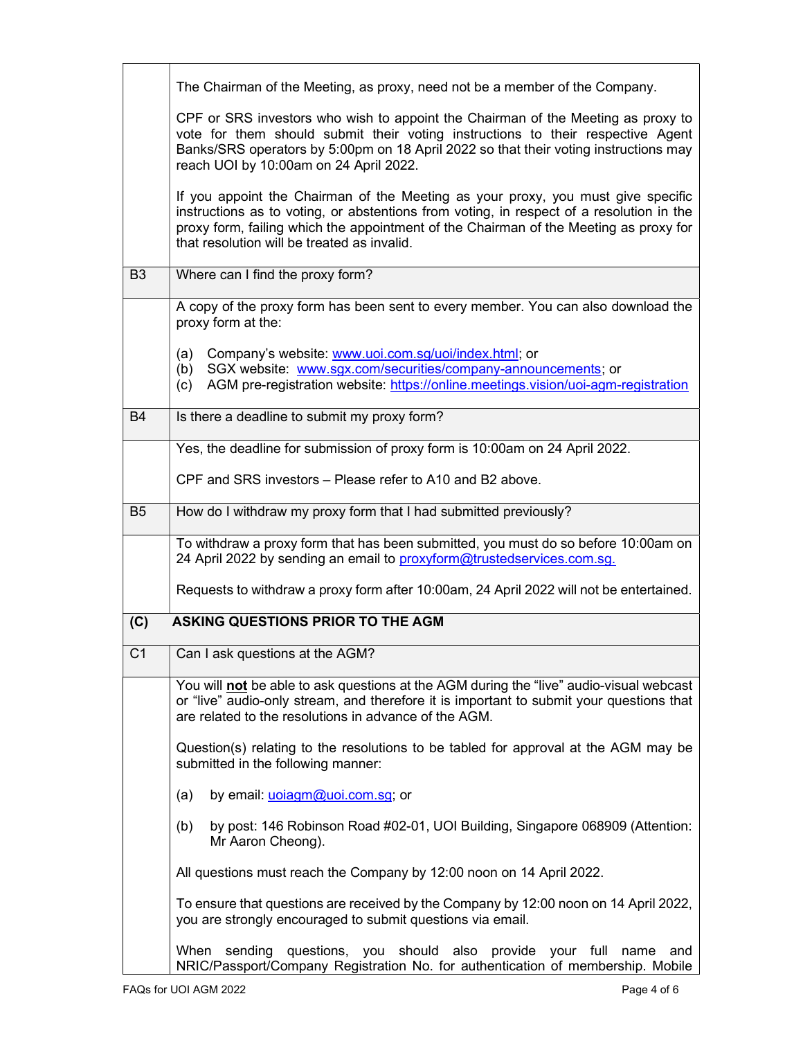|                | The Chairman of the Meeting, as proxy, need not be a member of the Company.                                                                                                                                                                                                                                          |  |
|----------------|----------------------------------------------------------------------------------------------------------------------------------------------------------------------------------------------------------------------------------------------------------------------------------------------------------------------|--|
|                | CPF or SRS investors who wish to appoint the Chairman of the Meeting as proxy to<br>vote for them should submit their voting instructions to their respective Agent<br>Banks/SRS operators by 5:00pm on 18 April 2022 so that their voting instructions may<br>reach UOI by 10:00am on 24 April 2022.                |  |
|                | If you appoint the Chairman of the Meeting as your proxy, you must give specific<br>instructions as to voting, or abstentions from voting, in respect of a resolution in the<br>proxy form, failing which the appointment of the Chairman of the Meeting as proxy for<br>that resolution will be treated as invalid. |  |
| B <sub>3</sub> | Where can I find the proxy form?                                                                                                                                                                                                                                                                                     |  |
|                | A copy of the proxy form has been sent to every member. You can also download the<br>proxy form at the:                                                                                                                                                                                                              |  |
|                | Company's website: www.uoi.com.sg/uoi/index.html; or<br>(a)<br>SGX website: www.sgx.com/securities/company-announcements; or<br>(b)<br>AGM pre-registration website: https://online.meetings.vision/uoi-agm-registration<br>(c)                                                                                      |  |
| B4             | Is there a deadline to submit my proxy form?                                                                                                                                                                                                                                                                         |  |
|                | Yes, the deadline for submission of proxy form is 10:00am on 24 April 2022.                                                                                                                                                                                                                                          |  |
|                | CPF and SRS investors – Please refer to A10 and B2 above.                                                                                                                                                                                                                                                            |  |
| B <sub>5</sub> | How do I withdraw my proxy form that I had submitted previously?                                                                                                                                                                                                                                                     |  |
|                | To withdraw a proxy form that has been submitted, you must do so before 10:00am on<br>24 April 2022 by sending an email to proxyform@trustedservices.com.sq.                                                                                                                                                         |  |
|                | Requests to withdraw a proxy form after 10:00am, 24 April 2022 will not be entertained.                                                                                                                                                                                                                              |  |
| (C)            | <b>ASKING QUESTIONS PRIOR TO THE AGM</b>                                                                                                                                                                                                                                                                             |  |
| C <sub>1</sub> | Can I ask questions at the AGM?                                                                                                                                                                                                                                                                                      |  |
|                | You will not be able to ask questions at the AGM during the "live" audio-visual webcast<br>or "live" audio-only stream, and therefore it is important to submit your questions that<br>are related to the resolutions in advance of the AGM.                                                                         |  |
|                | Question(s) relating to the resolutions to be tabled for approval at the AGM may be<br>submitted in the following manner:                                                                                                                                                                                            |  |
|                | by email: <i>uoiagm@uoi.com.sg</i> ; or<br>(a)                                                                                                                                                                                                                                                                       |  |
|                | by post: 146 Robinson Road #02-01, UOI Building, Singapore 068909 (Attention:<br>(b)<br>Mr Aaron Cheong).                                                                                                                                                                                                            |  |
|                | All questions must reach the Company by 12:00 noon on 14 April 2022.                                                                                                                                                                                                                                                 |  |
|                | To ensure that questions are received by the Company by 12:00 noon on 14 April 2022,<br>you are strongly encouraged to submit questions via email.                                                                                                                                                                   |  |
|                | When sending questions, you should also provide your full name<br>and<br>NRIC/Passport/Company Registration No. for authentication of membership. Mobile                                                                                                                                                             |  |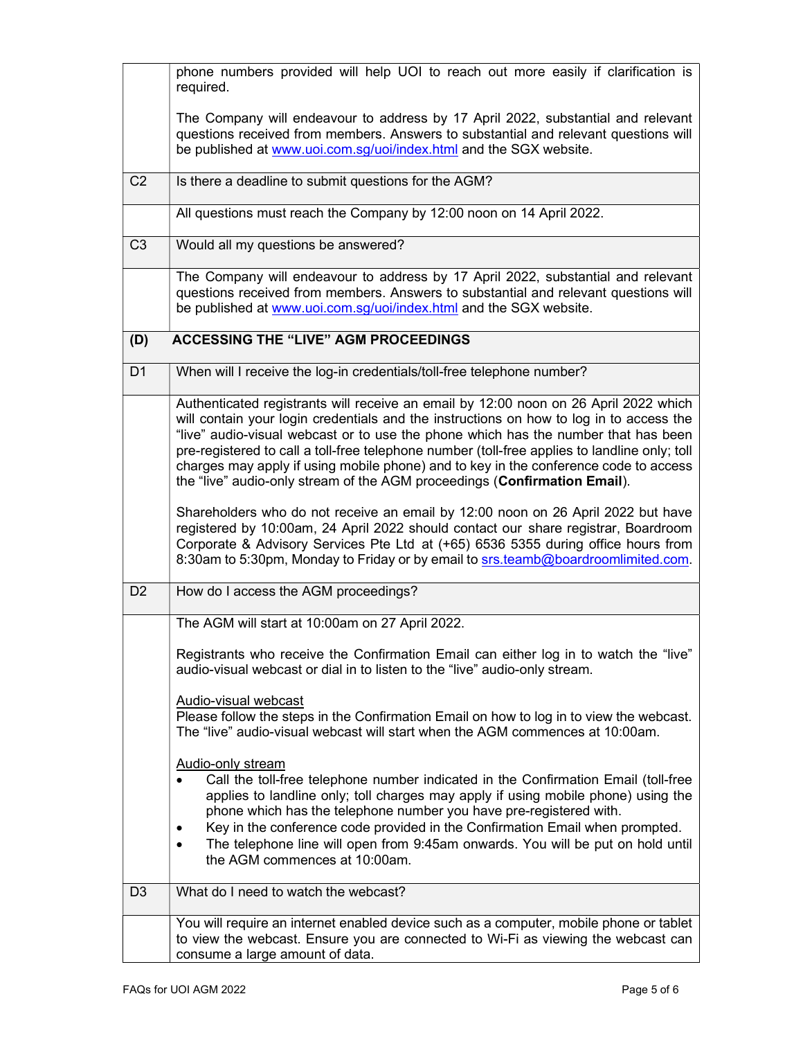|                | phone numbers provided will help UOI to reach out more easily if clarification is<br>required.                                                                                                                                                                                                                                                                                                                                                                                                                                              |
|----------------|---------------------------------------------------------------------------------------------------------------------------------------------------------------------------------------------------------------------------------------------------------------------------------------------------------------------------------------------------------------------------------------------------------------------------------------------------------------------------------------------------------------------------------------------|
|                | The Company will endeavour to address by 17 April 2022, substantial and relevant<br>questions received from members. Answers to substantial and relevant questions will<br>be published at www.uoi.com.sg/uoi/index.html and the SGX website.                                                                                                                                                                                                                                                                                               |
| C <sub>2</sub> | Is there a deadline to submit questions for the AGM?                                                                                                                                                                                                                                                                                                                                                                                                                                                                                        |
|                | All questions must reach the Company by 12:00 noon on 14 April 2022.                                                                                                                                                                                                                                                                                                                                                                                                                                                                        |
| C <sub>3</sub> | Would all my questions be answered?                                                                                                                                                                                                                                                                                                                                                                                                                                                                                                         |
|                | The Company will endeavour to address by 17 April 2022, substantial and relevant<br>questions received from members. Answers to substantial and relevant questions will<br>be published at www.uoi.com.sg/uoi/index.html and the SGX website.                                                                                                                                                                                                                                                                                               |
| (D)            | <b>ACCESSING THE "LIVE" AGM PROCEEDINGS</b>                                                                                                                                                                                                                                                                                                                                                                                                                                                                                                 |
| D <sub>1</sub> | When will I receive the log-in credentials/toll-free telephone number?                                                                                                                                                                                                                                                                                                                                                                                                                                                                      |
|                | Authenticated registrants will receive an email by 12:00 noon on 26 April 2022 which<br>will contain your login credentials and the instructions on how to log in to access the<br>"live" audio-visual webcast or to use the phone which has the number that has been<br>pre-registered to call a toll-free telephone number (toll-free applies to landline only; toll<br>charges may apply if using mobile phone) and to key in the conference code to access<br>the "live" audio-only stream of the AGM proceedings (Confirmation Email). |
|                | Shareholders who do not receive an email by 12:00 noon on 26 April 2022 but have<br>registered by 10:00am, 24 April 2022 should contact our share registrar, Boardroom<br>Corporate & Advisory Services Pte Ltd at (+65) 6536 5355 during office hours from<br>8:30am to 5:30pm, Monday to Friday or by email to srs.teamb@boardroomlimited.com.                                                                                                                                                                                            |
| D <sub>2</sub> | How do I access the AGM proceedings?                                                                                                                                                                                                                                                                                                                                                                                                                                                                                                        |
|                | The AGM will start at 10:00am on 27 April 2022.                                                                                                                                                                                                                                                                                                                                                                                                                                                                                             |
|                | Registrants who receive the Confirmation Email can either log in to watch the "live"<br>audio-visual webcast or dial in to listen to the "live" audio-only stream.                                                                                                                                                                                                                                                                                                                                                                          |
|                | Audio-visual webcast<br>Please follow the steps in the Confirmation Email on how to log in to view the webcast.<br>The "live" audio-visual webcast will start when the AGM commences at 10:00am.                                                                                                                                                                                                                                                                                                                                            |
|                | <b>Audio-only stream</b><br>Call the toll-free telephone number indicated in the Confirmation Email (toll-free<br>applies to landline only; toll charges may apply if using mobile phone) using the<br>phone which has the telephone number you have pre-registered with.<br>Key in the conference code provided in the Confirmation Email when prompted.<br>٠<br>The telephone line will open from 9:45am onwards. You will be put on hold until<br>$\bullet$<br>the AGM commences at 10:00am.                                             |
| D <sub>3</sub> | What do I need to watch the webcast?                                                                                                                                                                                                                                                                                                                                                                                                                                                                                                        |
|                | You will require an internet enabled device such as a computer, mobile phone or tablet<br>to view the webcast. Ensure you are connected to Wi-Fi as viewing the webcast can<br>consume a large amount of data.                                                                                                                                                                                                                                                                                                                              |